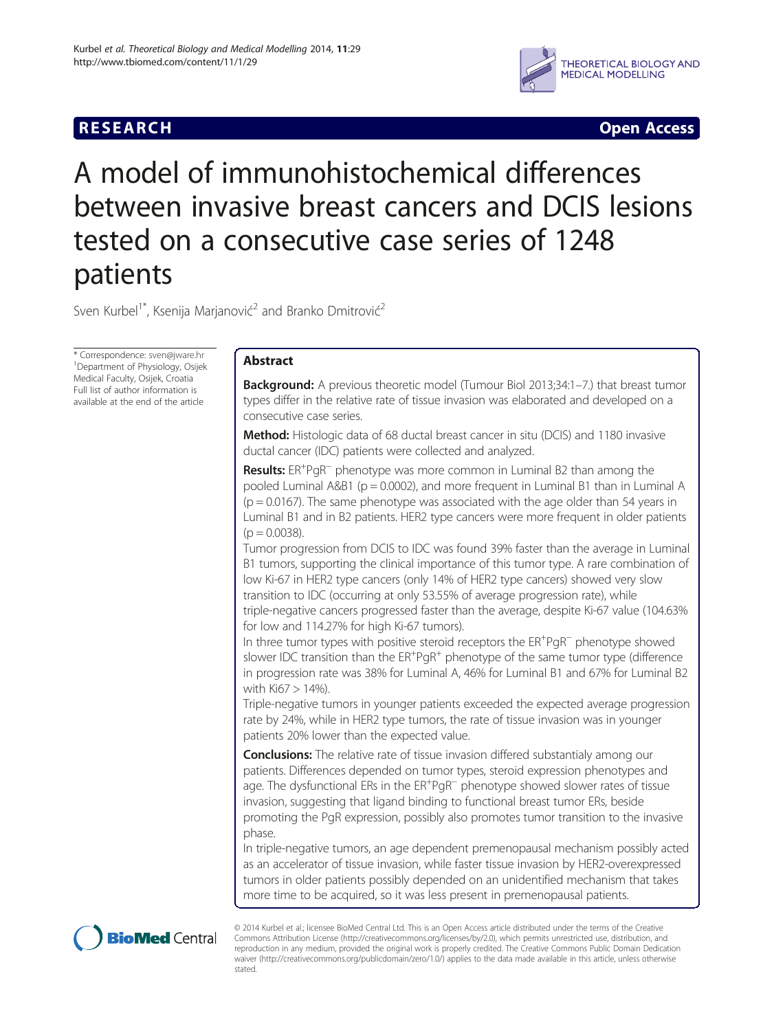# **RESEARCH CHINESE ARCH CHINESE ARCH CHINESE ARCH**



# A model of immunohistochemical differences between invasive breast cancers and DCIS lesions tested on a consecutive case series of 1248 patients

Sven Kurbel<sup>1\*</sup>, Ksenija Marjanović<sup>2</sup> and Branko Dmitrović<sup>2</sup>

\* Correspondence: [sven@jware.hr](mailto:sven@jware.hr) <sup>1</sup> Department of Physiology, Osijek Medical Faculty, Osijek, Croatia Full list of author information is available at the end of the article

# Abstract

**Background:** A previous theoretic model (Tumour Biol 2013;34:1-7.) that breast tumor types differ in the relative rate of tissue invasion was elaborated and developed on a consecutive case series.

Method: Histologic data of 68 ductal breast cancer in situ (DCIS) and 1180 invasive ductal cancer (IDC) patients were collected and analyzed.

Results: ER<sup>+</sup>PgR<sup>-</sup> phenotype was more common in Luminal B2 than among the pooled Luminal  $A&B1$  (p = 0.0002), and more frequent in Luminal B1 than in Luminal A  $(p = 0.0167)$ . The same phenotype was associated with the age older than 54 years in Luminal B1 and in B2 patients. HER2 type cancers were more frequent in older patients  $(p = 0.0038)$ .

Tumor progression from DCIS to IDC was found 39% faster than the average in Luminal B1 tumors, supporting the clinical importance of this tumor type. A rare combination of low Ki-67 in HER2 type cancers (only 14% of HER2 type cancers) showed very slow transition to IDC (occurring at only 53.55% of average progression rate), while triple-negative cancers progressed faster than the average, despite Ki-67 value (104.63% for low and 114.27% for high Ki-67 tumors).

In three tumor types with positive steroid receptors the ER<sup>+</sup>PgR<sup>−</sup> phenotype showed slower IDC transition than the  $ER^+PgR^+$  phenotype of the same tumor type (difference in progression rate was 38% for Luminal A, 46% for Luminal B1 and 67% for Luminal B2 with Ki67 > 14%).

Triple-negative tumors in younger patients exceeded the expected average progression rate by 24%, while in HER2 type tumors, the rate of tissue invasion was in younger patients 20% lower than the expected value.

**Conclusions:** The relative rate of tissue invasion differed substantialy among our patients. Differences depended on tumor types, steroid expression phenotypes and .<br>age. The dysfunctional ERs in the ER<sup>+</sup>PgR<sup>−</sup> phenotype showed slower rates of tissue invasion, suggesting that ligand binding to functional breast tumor ERs, beside promoting the PgR expression, possibly also promotes tumor transition to the invasive phase.

In triple-negative tumors, an age dependent premenopausal mechanism possibly acted as an accelerator of tissue invasion, while faster tissue invasion by HER2-overexpressed tumors in older patients possibly depended on an unidentified mechanism that takes more time to be acquired, so it was less present in premenopausal patients.



© 2014 Kurbel et al.; licensee BioMed Central Ltd. This is an Open Access article distributed under the terms of the Creative Commons Attribution License [\(http://creativecommons.org/licenses/by/2.0\)](http://creativecommons.org/licenses/by/2.0), which permits unrestricted use, distribution, and reproduction in any medium, provided the original work is properly credited. The Creative Commons Public Domain Dedication waiver [\(http://creativecommons.org/publicdomain/zero/1.0/\)](http://creativecommons.org/publicdomain/zero/1.0/) applies to the data made available in this article, unless otherwise stated.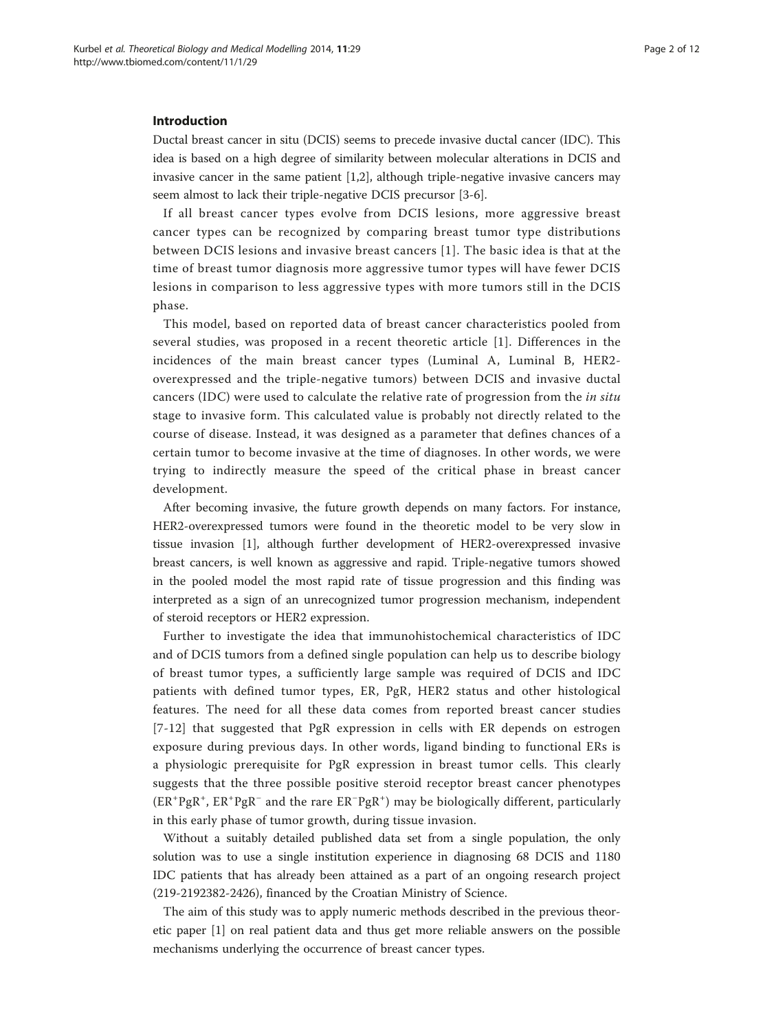# Introduction

Ductal breast cancer in situ (DCIS) seems to precede invasive ductal cancer (IDC). This idea is based on a high degree of similarity between molecular alterations in DCIS and invasive cancer in the same patient  $[1,2]$  $[1,2]$  $[1,2]$  $[1,2]$  $[1,2]$ , although triple-negative invasive cancers may seem almost to lack their triple-negative DCIS precursor [\[3](#page-10-0)-[6\]](#page-10-0).

If all breast cancer types evolve from DCIS lesions, more aggressive breast cancer types can be recognized by comparing breast tumor type distributions between DCIS lesions and invasive breast cancers [[1\]](#page-10-0). The basic idea is that at the time of breast tumor diagnosis more aggressive tumor types will have fewer DCIS lesions in comparison to less aggressive types with more tumors still in the DCIS phase.

This model, based on reported data of breast cancer characteristics pooled from several studies, was proposed in a recent theoretic article [[1](#page-10-0)]. Differences in the incidences of the main breast cancer types (Luminal A, Luminal B, HER2 overexpressed and the triple-negative tumors) between DCIS and invasive ductal cancers (IDC) were used to calculate the relative rate of progression from the in situ stage to invasive form. This calculated value is probably not directly related to the course of disease. Instead, it was designed as a parameter that defines chances of a certain tumor to become invasive at the time of diagnoses. In other words, we were trying to indirectly measure the speed of the critical phase in breast cancer development.

After becoming invasive, the future growth depends on many factors. For instance, HER2-overexpressed tumors were found in the theoretic model to be very slow in tissue invasion [[1](#page-10-0)], although further development of HER2-overexpressed invasive breast cancers, is well known as aggressive and rapid. Triple-negative tumors showed in the pooled model the most rapid rate of tissue progression and this finding was interpreted as a sign of an unrecognized tumor progression mechanism, independent of steroid receptors or HER2 expression.

Further to investigate the idea that immunohistochemical characteristics of IDC and of DCIS tumors from a defined single population can help us to describe biology of breast tumor types, a sufficiently large sample was required of DCIS and IDC patients with defined tumor types, ER, PgR, HER2 status and other histological features. The need for all these data comes from reported breast cancer studies [[7](#page-10-0)-[12](#page-10-0)] that suggested that PgR expression in cells with ER depends on estrogen exposure during previous days. In other words, ligand binding to functional ERs is a physiologic prerequisite for PgR expression in breast tumor cells. This clearly suggests that the three possible positive steroid receptor breast cancer phenotypes (ER<sup>+</sup>PgR<sup>+</sup>, ER<sup>+</sup>PgR<sup>-</sup> and the rare ER<sup>-</sup>PgR<sup>+</sup>) may be biologically different, particularly in this early phase of tumor growth, during tissue invasion.

Without a suitably detailed published data set from a single population, the only solution was to use a single institution experience in diagnosing 68 DCIS and 1180 IDC patients that has already been attained as a part of an ongoing research project (219-2192382-2426), financed by the Croatian Ministry of Science.

The aim of this study was to apply numeric methods described in the previous theoretic paper [[1\]](#page-10-0) on real patient data and thus get more reliable answers on the possible mechanisms underlying the occurrence of breast cancer types.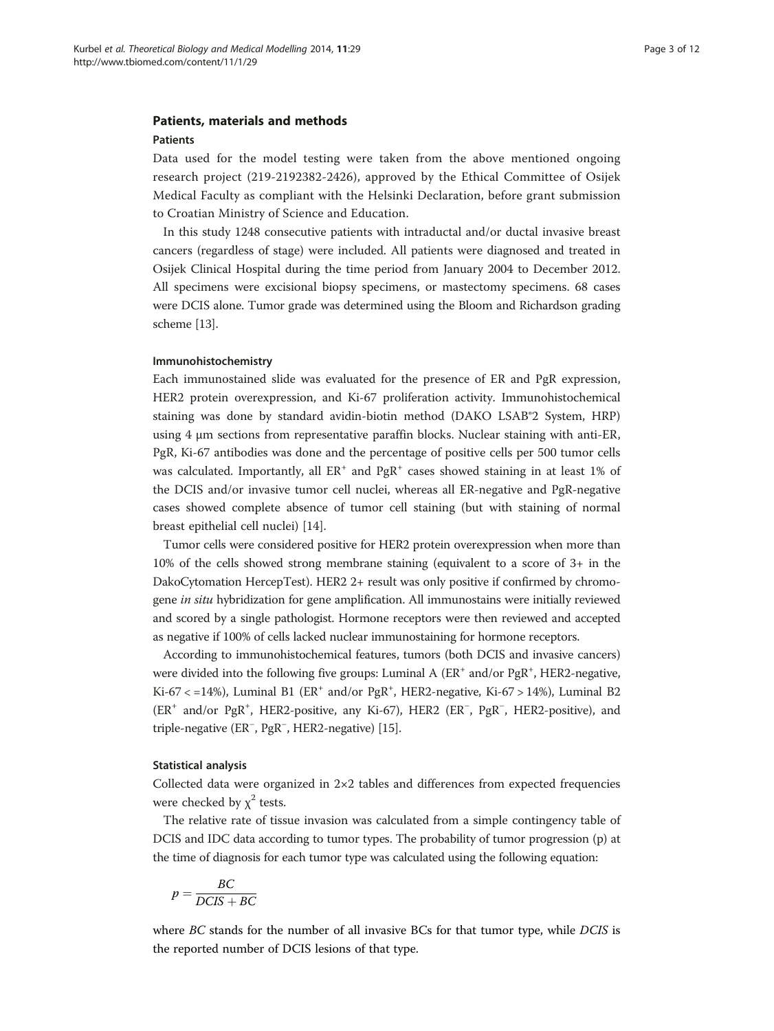# Patients, materials and methods

#### Patients

Data used for the model testing were taken from the above mentioned ongoing research project (219-2192382-2426), approved by the Ethical Committee of Osijek Medical Faculty as compliant with the Helsinki Declaration, before grant submission to Croatian Ministry of Science and Education.

In this study 1248 consecutive patients with intraductal and/or ductal invasive breast cancers (regardless of stage) were included. All patients were diagnosed and treated in Osijek Clinical Hospital during the time period from January 2004 to December 2012. All specimens were excisional biopsy specimens, or mastectomy specimens. 68 cases were DCIS alone. Tumor grade was determined using the Bloom and Richardson grading scheme [\[13\]](#page-10-0).

### Immunohistochemistry

Each immunostained slide was evaluated for the presence of ER and PgR expression, HER2 protein overexpression, and Ki-67 proliferation activity. Immunohistochemical staining was done by standard avidin-biotin method (DAKO LSAB®2 System, HRP) using 4 μm sections from representative paraffin blocks. Nuclear staining with anti-ER, PgR, Ki-67 antibodies was done and the percentage of positive cells per 500 tumor cells was calculated. Importantly, all  $ER^+$  and  $PgR^+$  cases showed staining in at least 1% of the DCIS and/or invasive tumor cell nuclei, whereas all ER-negative and PgR-negative cases showed complete absence of tumor cell staining (but with staining of normal breast epithelial cell nuclei) [\[14\]](#page-10-0).

Tumor cells were considered positive for HER2 protein overexpression when more than 10% of the cells showed strong membrane staining (equivalent to a score of 3+ in the DakoCytomation HercepTest). HER2 2+ result was only positive if confirmed by chromogene in situ hybridization for gene amplification. All immunostains were initially reviewed and scored by a single pathologist. Hormone receptors were then reviewed and accepted as negative if 100% of cells lacked nuclear immunostaining for hormone receptors.

According to immunohistochemical features, tumors (both DCIS and invasive cancers) were divided into the following five groups: Luminal A (ER<sup>+</sup> and/or PgR<sup>+</sup>, HER2-negative, Ki-67 < =14%), Luminal B1 ( $ER^+$  and/or  $PgR^+$ , HER2-negative, Ki-67 > 14%), Luminal B2 (ER<sup>+</sup> and/or PgR<sup>+</sup>, HER2-positive, any Ki-67), HER2 (ER<sup>-</sup>, PgR<sup>-</sup>, HER2-positive), and triple-negative (ER<sup>−</sup> , PgR<sup>−</sup> , HER2-negative) [\[15\]](#page-11-0).

# Statistical analysis

Collected data were organized in 2×2 tables and differences from expected frequencies were checked by  $\chi^2$  tests.

The relative rate of tissue invasion was calculated from a simple contingency table of DCIS and IDC data according to tumor types. The probability of tumor progression (p) at the time of diagnosis for each tumor type was calculated using the following equation:

$$
p = \frac{BC}{DCIS + BC}
$$

where BC stands for the number of all invasive BCs for that tumor type, while DCIS is the reported number of DCIS lesions of that type.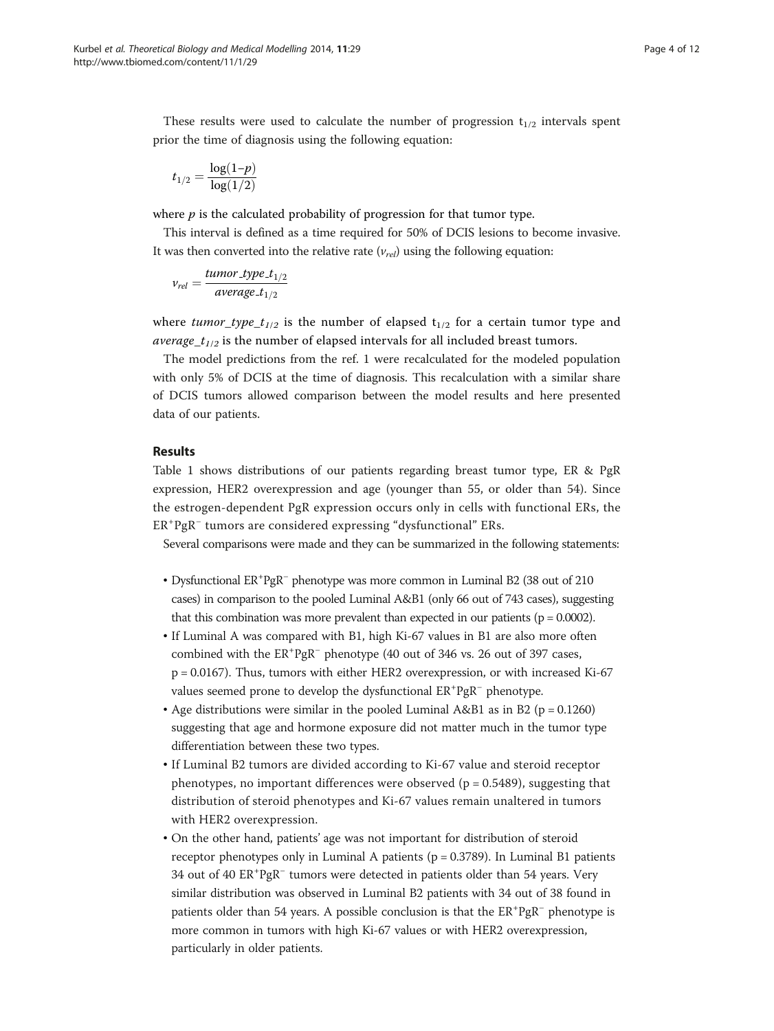These results were used to calculate the number of progression  $t_{1/2}$  intervals spent prior the time of diagnosis using the following equation:

$$
t_{1/2} = \frac{\log(1-p)}{\log(1/2)}
$$

where  $p$  is the calculated probability of progression for that tumor type.

This interval is defined as a time required for 50% of DCIS lesions to become invasive. It was then converted into the relative rate  $(v_{rel})$  using the following equation:

$$
v_{rel} = \frac{tumor\_type\_t_{1/2}}{average\_t_{1/2}}
$$

where tumor type  $t_{1/2}$  is the number of elapsed  $t_{1/2}$  for a certain tumor type and *average\_t<sub>1/2</sub>* is the number of elapsed intervals for all included breast tumors.

The model predictions from the ref. 1 were recalculated for the modeled population with only 5% of DCIS at the time of diagnosis. This recalculation with a similar share of DCIS tumors allowed comparison between the model results and here presented data of our patients.

# Results

Table [1](#page-4-0) shows distributions of our patients regarding breast tumor type, ER & PgR expression, HER2 overexpression and age (younger than 55, or older than 54). Since the estrogen-dependent PgR expression occurs only in cells with functional ERs, the ER<sup>+</sup>PgR<sup>-</sup> tumors are considered expressing "dysfunctional" ERs.

Several comparisons were made and they can be summarized in the following statements:

- Dysfunctional ER+ PgR<sup>−</sup> phenotype was more common in Luminal B2 (38 out of 210 cases) in comparison to the pooled Luminal A&B1 (only 66 out of 743 cases), suggesting that this combination was more prevalent than expected in our patients ( $p = 0.0002$ ).
- If Luminal A was compared with B1, high Ki-67 values in B1 are also more often combined with the ER<sup>+</sup>PgR<sup>−</sup> phenotype (40 out of 346 vs. 26 out of 397 cases, p = 0.0167). Thus, tumors with either HER2 overexpression, or with increased Ki-67 values seemed prone to develop the dysfunctional  $ER^+PgR^-$  phenotype.
- Age distributions were similar in the pooled Luminal A&B1 as in B2 ( $p = 0.1260$ ) suggesting that age and hormone exposure did not matter much in the tumor type differentiation between these two types.
- If Luminal B2 tumors are divided according to Ki-67 value and steroid receptor phenotypes, no important differences were observed ( $p = 0.5489$ ), suggesting that distribution of steroid phenotypes and Ki-67 values remain unaltered in tumors with HER2 overexpression.
- On the other hand, patients' age was not important for distribution of steroid receptor phenotypes only in Luminal A patients ( $p = 0.3789$ ). In Luminal B1 patients 34 out of 40 ER<sup>+</sup>PgR<sup>-</sup> tumors were detected in patients older than 54 years. Very similar distribution was observed in Luminal B2 patients with 34 out of 38 found in patients older than 54 years. A possible conclusion is that the ER<sup>+</sup>PgR<sup>-</sup> phenotype is more common in tumors with high Ki-67 values or with HER2 overexpression, particularly in older patients.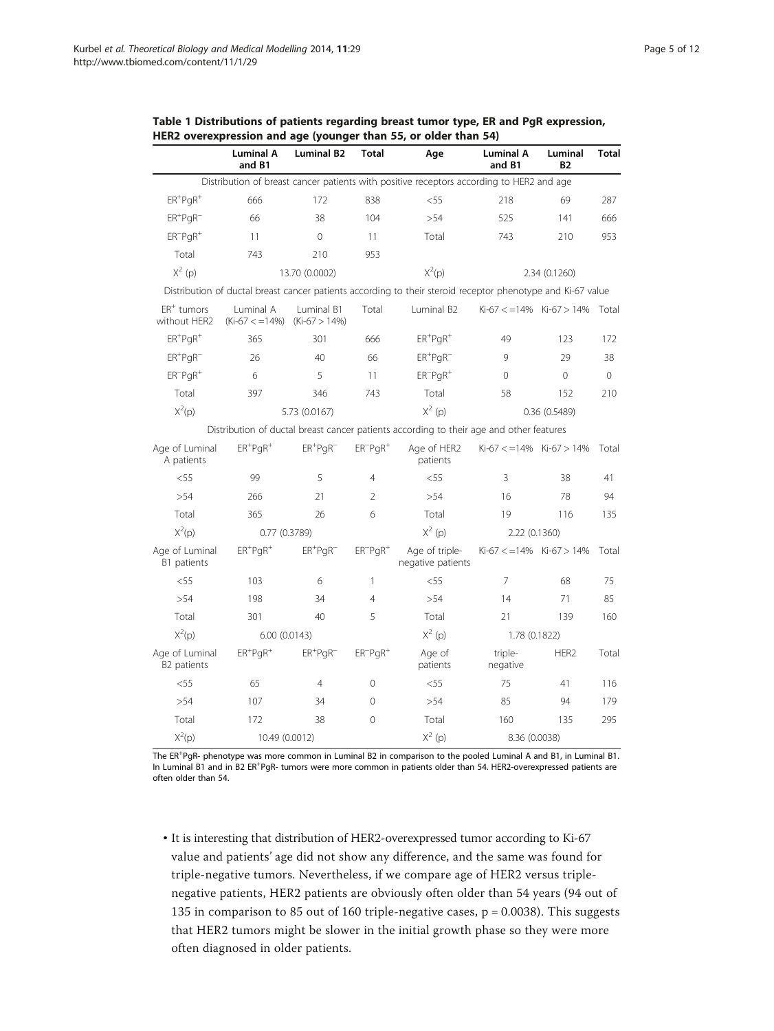|                                      | <b>Luminal A</b><br>and B1     | <b>Luminal B2</b>                    | <b>Total</b>    | Age                                                                                                         | <b>Luminal A</b><br>and B1 | Luminal<br><b>B2</b>       | Total |
|--------------------------------------|--------------------------------|--------------------------------------|-----------------|-------------------------------------------------------------------------------------------------------------|----------------------------|----------------------------|-------|
|                                      |                                |                                      |                 | Distribution of breast cancer patients with positive receptors according to HER2 and age                    |                            |                            |       |
| $ER^{+}PQR^{+}$                      | 666                            | 172                                  | 838             | $<$ 55                                                                                                      | 218                        |                            | 287   |
| $ER$ <sup>+</sup> $PgR$ <sup>-</sup> | 66                             | 38                                   | 104             | >54                                                                                                         | 525                        | 141                        | 666   |
| $ER^-PqR^+$                          | 11                             | 0                                    | 11              | Total                                                                                                       | 743                        | 210                        | 953   |
| Total                                | 743                            | 210                                  | 953             |                                                                                                             |                            |                            |       |
| $X^2$ (p)                            |                                | 13.70 (0.0002)                       |                 | $X^2(p)$                                                                                                    | 2.34 (0.1260)              |                            |       |
|                                      |                                |                                      |                 | Distribution of ductal breast cancer patients according to their steroid receptor phenotype and Ki-67 value |                            |                            |       |
| $ER+$ tumors<br>without HER2         | Luminal A<br>$(Ki-67 < -14\%)$ | Luminal B1<br>$(Ki-67 > 14%)$        | Total           | Luminal B2                                                                                                  | $Ki-67 < 14\%$ Ki-67 > 14% |                            | Total |
| $ER+PqR^+$                           | 365                            | 301                                  | 666             | $ER$ <sup>+</sup> $PqR$ <sup>+</sup>                                                                        | 49                         | 123                        | 172   |
| $ER^{+}PQR^{-}$                      | 26                             | 40                                   | 66              | $ER+PgR^-$                                                                                                  | 9                          | 29                         | 38    |
| $ER^{-}PgR^{+}$                      | 6                              | 5                                    | 11              | $ER^{-}PqR^{+}$                                                                                             | 0                          | $\Omega$                   | 0     |
| Total                                | 397                            | 346                                  | 743             | Total                                                                                                       | 58                         | 152                        | 210   |
| $X^2(p)$                             |                                | 5.73 (0.0167)                        |                 | $X^2$ (p)                                                                                                   | 0.36(0.5489)               |                            |       |
|                                      |                                |                                      |                 | Distribution of ductal breast cancer patients according to their age and other features                     |                            |                            |       |
| Age of Luminal<br>A patients         | $ER+PgR+$                      | $ER$ <sup>+</sup> $PqR$ <sup>-</sup> | $ER^-PqR^+$     | Age of HER2<br>patients                                                                                     |                            | $Ki-67 < 14\%$ Ki-67 > 14% | Total |
| $<$ 55                               | 99                             | 5                                    | $\overline{4}$  | < 55                                                                                                        | 3                          | 38                         | 41    |
| >54                                  | 266                            | 21                                   | $\overline{2}$  | >54                                                                                                         | 16                         | 78                         | 94    |
| Total                                | 365                            | 26                                   | 6               | Total                                                                                                       | 19                         | 116                        | 135   |
| $X^2(p)$                             | 0.77(0.3789)                   |                                      |                 | $X^2$ (p)                                                                                                   | 2.22 (0.1360)              |                            |       |
| Age of Luminal<br>B1 patients        | $ER+PQR+$                      | $ER+PgR^-$                           | $ER^{-}PqR^{+}$ | Age of triple-<br>negative patients                                                                         | $Ki-67 < 14\%$ Ki-67 > 14% |                            | Total |
| $<$ 55                               | 103                            | 6                                    | $\mathbf{1}$    | < 55                                                                                                        | 7                          |                            | 75    |
| > 54                                 | 198                            | 34                                   | $\overline{4}$  | > 54                                                                                                        | 14                         | 71                         | 85    |
| Total                                | 301                            | 40                                   | 5               | Total                                                                                                       | 21                         | 139                        | 160   |
| $X^2(p)$                             |                                | 6.00(0.0143)                         |                 | $X^2$ (p)                                                                                                   | 1.78 (0.1822)              |                            |       |
| Age of Luminal<br>B2 patients        | $ER+PgR+$                      | $ER+PGR^-$                           | $ER^{-}PgR^{+}$ | Age of<br>patients                                                                                          | triple-<br>negative        | HER <sub>2</sub>           | Total |
| < 55                                 | 65                             | $\overline{4}$                       | $\Omega$        | $<$ 55                                                                                                      | 75                         | 41                         | 116   |
| >54                                  | 107                            | 34                                   | $\Omega$        | >54                                                                                                         | 85                         | 94                         | 179   |
| Total                                | 172                            | 38                                   | $\Omega$        | Total                                                                                                       | 160                        | 135                        | 295   |
| $X^2(p)$                             | 10.49 (0.0012)                 |                                      |                 | $X^2$ (p)                                                                                                   | 8.36 (0.0038)              |                            |       |

<span id="page-4-0"></span>Table 1 Distributions of patients regarding breast tumor type, ER and PgR expression, HER2 overexpression and age (younger than 55, or older than 54)

The ER<sup>+</sup>PgR- phenotype was more common in Luminal B2 in comparison to the pooled Luminal A and B1, in Luminal B1. In Luminal B1 and in B2 ER<sup>+</sup>PgR- tumors were more common in patients older than 54. HER2-overexpressed patients are often older than 54.

• It is interesting that distribution of HER2-overexpressed tumor according to Ki-67 value and patients' age did not show any difference, and the same was found for triple-negative tumors. Nevertheless, if we compare age of HER2 versus triplenegative patients, HER2 patients are obviously often older than 54 years (94 out of 135 in comparison to 85 out of 160 triple-negative cases, p = 0.0038). This suggests that HER2 tumors might be slower in the initial growth phase so they were more often diagnosed in older patients.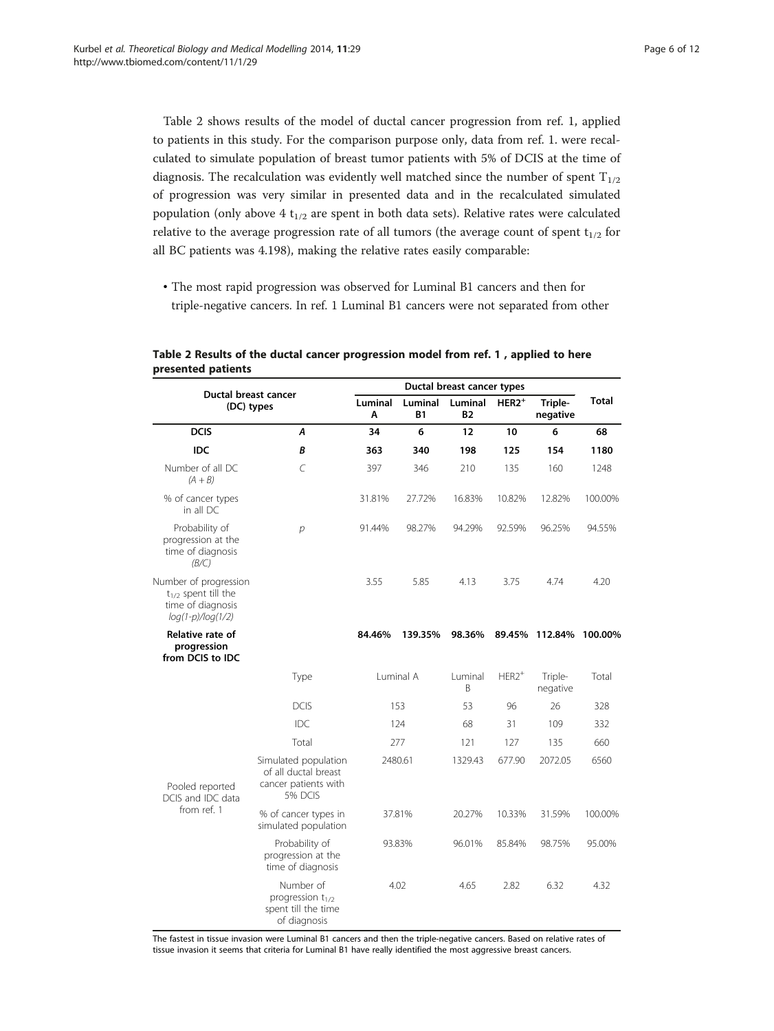Table 2 shows results of the model of ductal cancer progression from ref. 1, applied to patients in this study. For the comparison purpose only, data from ref. 1. were recalculated to simulate population of breast tumor patients with 5% of DCIS at the time of diagnosis. The recalculation was evidently well matched since the number of spent  $T_{1/2}$ of progression was very similar in presented data and in the recalculated simulated population (only above 4  $t_{1/2}$  are spent in both data sets). Relative rates were calculated relative to the average progression rate of all tumors (the average count of spent  $t_{1/2}$  for all BC patients was 4.198), making the relative rates easily comparable:

• The most rapid progression was observed for Luminal B1 cancers and then for triple-negative cancers. In ref. 1 Luminal B1 cancers were not separated from other

| Ductal breast cancer                                                                          |                                                                                 | Ductal breast cancer types |                      |                      |          |                     |                            |  |
|-----------------------------------------------------------------------------------------------|---------------------------------------------------------------------------------|----------------------------|----------------------|----------------------|----------|---------------------|----------------------------|--|
| (DC) types                                                                                    |                                                                                 | Luminal<br>Α               | Luminal<br><b>B1</b> | Luminal<br><b>B2</b> | $HER2^+$ | Triple-<br>negative | <b>Total</b><br>68<br>1180 |  |
| <b>DCIS</b>                                                                                   | Α                                                                               | 34                         | 6                    | 12                   | 10       | 6                   |                            |  |
| IDC                                                                                           | B                                                                               | 363                        | 340                  | 198                  | 125      | 154                 |                            |  |
| Number of all DC<br>$(A + B)$                                                                 | C                                                                               | 397                        | 346                  | 210                  | 135      | 160                 | 1248                       |  |
| % of cancer types<br>in all DC                                                                |                                                                                 | 31.81%                     | 27.72%               | 16.83%               | 10.82%   | 12.82%              | 100.00%                    |  |
| Probability of<br>progression at the<br>time of diagnosis<br>(B/C)                            | р                                                                               | 91.44%                     | 98.27%               | 94.29%               | 92.59%   | 96.25%              | 94.55%                     |  |
| Number of progression<br>$t_{1/2}$ spent till the<br>time of diagnosis<br>$log(1-p)/log(1/2)$ |                                                                                 | 3.55                       | 5.85                 | 4.13                 | 3.75     | 4.74                | 4.20                       |  |
| Relative rate of<br>progression<br>from DCIS to IDC                                           |                                                                                 | 84.46%                     | 139.35%              | 98.36%               | 89.45%   | 112.84%             | 100.00%                    |  |
|                                                                                               | Type                                                                            | Luminal A                  |                      | Luminal<br>B         | $HER2+$  | Triple-<br>negative | Total                      |  |
|                                                                                               | <b>DCIS</b>                                                                     | 153                        |                      | 53                   | 96       | 26                  | 328                        |  |
|                                                                                               | IDC.                                                                            | 124                        |                      | 68                   | 31       | 109                 | 332                        |  |
|                                                                                               | Total                                                                           | 277                        |                      | 121                  | 127      | 135                 | 660                        |  |
| Pooled reported<br>DCIS and IDC data                                                          | Simulated population<br>of all ductal breast<br>cancer patients with<br>5% DCIS | 2480.61                    |                      | 1329.43              | 677.90   | 2072.05             | 6560                       |  |
| from ref. 1                                                                                   | % of cancer types in<br>simulated population                                    | 37.81%                     |                      | 20.27%               | 10.33%   | 31.59%              | 100.00%                    |  |
|                                                                                               | Probability of<br>progression at the<br>time of diagnosis                       | 93.83%                     |                      | 96.01%               | 85.84%   | 98.75%              | 95.00%                     |  |
|                                                                                               | Number of<br>progression $t_{1/2}$<br>spent till the time<br>of diagnosis       |                            | 4.02                 | 4.65                 | 2.82     | 6.32                | 4.32                       |  |

Table 2 Results of the ductal cancer progression model from ref. 1 , applied to here presented patients

The fastest in tissue invasion were Luminal B1 cancers and then the triple-negative cancers. Based on relative rates of tissue invasion it seems that criteria for Luminal B1 have really identified the most aggressive breast cancers.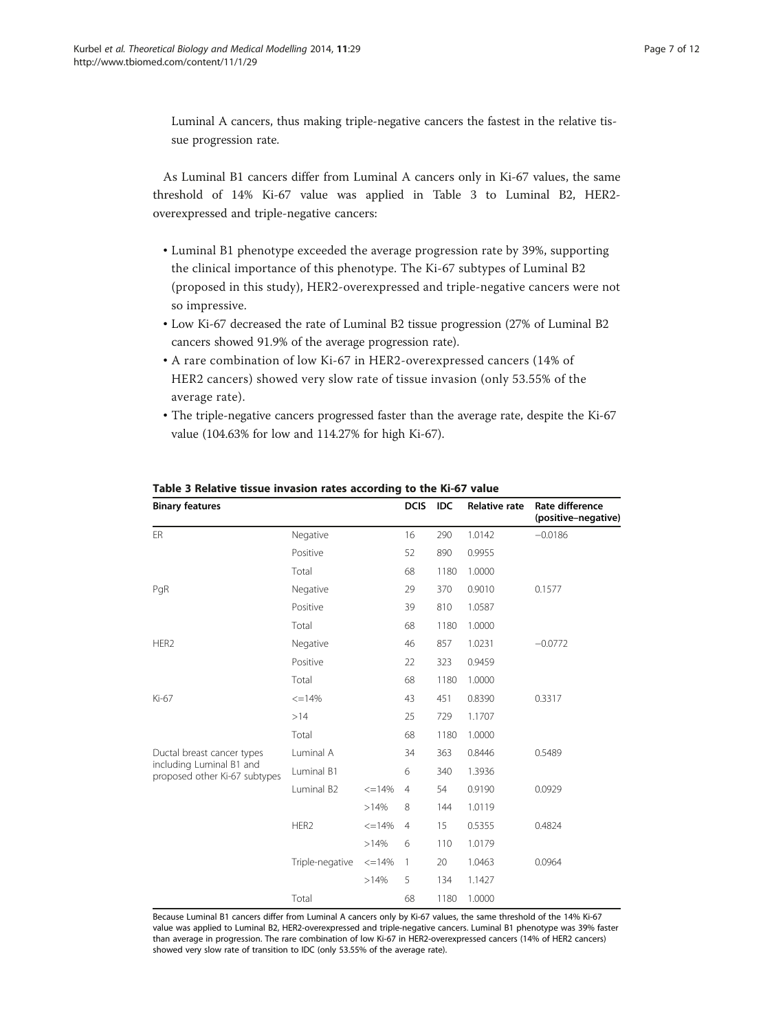Luminal A cancers, thus making triple-negative cancers the fastest in the relative tissue progression rate.

As Luminal B1 cancers differ from Luminal A cancers only in Ki-67 values, the same threshold of 14% Ki-67 value was applied in Table 3 to Luminal B2, HER2 overexpressed and triple-negative cancers:

- Luminal B1 phenotype exceeded the average progression rate by 39%, supporting the clinical importance of this phenotype. The Ki-67 subtypes of Luminal B2 (proposed in this study), HER2-overexpressed and triple-negative cancers were not so impressive.
- Low Ki-67 decreased the rate of Luminal B2 tissue progression (27% of Luminal B2 cancers showed 91.9% of the average progression rate).
- A rare combination of low Ki-67 in HER2-overexpressed cancers (14% of HER2 cancers) showed very slow rate of tissue invasion (only 53.55% of the average rate).
- The triple-negative cancers progressed faster than the average rate, despite the Ki-67 value (104.63% for low and 114.27% for high Ki-67).

| <b>Binary features</b>                                    |                               |              | <b>DCIS</b>    | <b>IDC</b> | <b>Relative rate</b> | Rate difference<br>(positive-negative) |
|-----------------------------------------------------------|-------------------------------|--------------|----------------|------------|----------------------|----------------------------------------|
| ER                                                        | Negative                      |              | 16             | 290        | 1.0142               | $-0.0186$                              |
|                                                           | Positive                      |              | 52             | 890        | 0.9955               |                                        |
|                                                           | Total                         |              | 68             | 1180       | 1.0000               |                                        |
| PgR                                                       | Negative<br>Positive<br>Total |              | 29             | 370        | 0.9010               | 0.1577                                 |
|                                                           |                               |              | 39             | 810        | 1.0587               |                                        |
|                                                           |                               |              | 68             | 1180       | 1.0000               |                                        |
| HER <sub>2</sub>                                          | Negative                      |              | 46             | 857        | 1.0231               | $-0.0772$                              |
|                                                           | Positive                      |              | 22             | 323        | 0.9459               |                                        |
|                                                           | Total                         |              | 68             | 1180       | 1.0000               |                                        |
| Ki-67                                                     | $\leq$ =14%<br>>14<br>Total   |              | 43             | 451        | 0.8390               | 0.3317                                 |
|                                                           |                               |              | 25             | 729        | 1.1707               |                                        |
|                                                           |                               |              | 68             | 1180       | 1.0000               |                                        |
| Ductal breast cancer types                                | Luminal A                     |              | 34             | 363        | 0.8446               | 0.5489                                 |
| including Luminal B1 and<br>proposed other Ki-67 subtypes | Luminal B1                    |              | 6              | 340        | 1.3936               |                                        |
|                                                           | Luminal B <sub>2</sub>        | $\leq$ =14%  | $\overline{4}$ | 54         | 0.9190               | 0.0929                                 |
|                                                           |                               | >14%         | 8              | 144        | 1.0119               |                                        |
|                                                           | HER2                          | $\leq$ =14%  | $\overline{4}$ | 15         | 0.5355               | 0.4824                                 |
|                                                           |                               | >14%         | 6              | 110        | 1.0179               |                                        |
|                                                           | Triple-negative               | $\leq$ = 14% | 1              | 20         | 1.0463               | 0.0964                                 |
|                                                           |                               | >14%         | 5              | 134        | 1.1427               |                                        |
|                                                           | Total                         |              | 68             | 1180       | 1.0000               |                                        |

Table 3 Relative tissue invasion rates according to the Ki-67 value

Because Luminal B1 cancers differ from Luminal A cancers only by Ki-67 values, the same threshold of the 14% Ki-67 value was applied to Luminal B2, HER2-overexpressed and triple-negative cancers. Luminal B1 phenotype was 39% faster than average in progression. The rare combination of low Ki-67 in HER2-overexpressed cancers (14% of HER2 cancers) showed very slow rate of transition to IDC (only 53.55% of the average rate).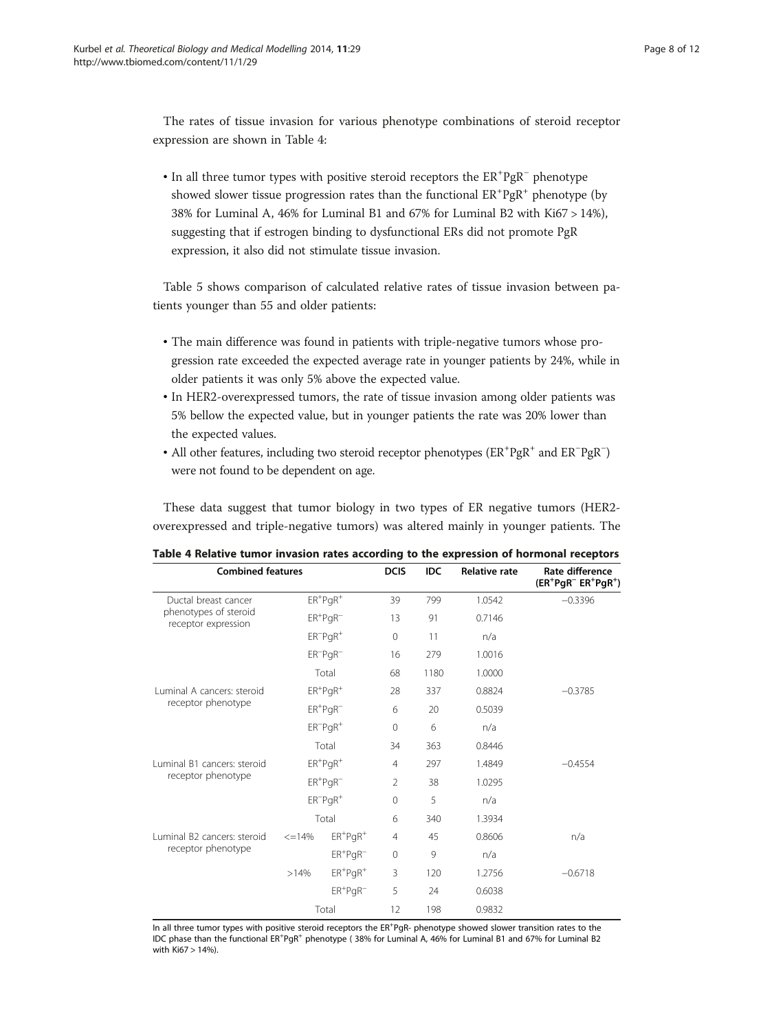The rates of tissue invasion for various phenotype combinations of steroid receptor expression are shown in Table 4:

• In all three tumor types with positive steroid receptors the  $ER^{+}PgR^{-}$  phenotype showed slower tissue progression rates than the functional  $ER^+PgR^+$  phenotype (by 38% for Luminal A, 46% for Luminal B1 and 67% for Luminal B2 with Ki67 > 14%), suggesting that if estrogen binding to dysfunctional ERs did not promote PgR expression, it also did not stimulate tissue invasion.

Table [5](#page-8-0) shows comparison of calculated relative rates of tissue invasion between patients younger than 55 and older patients:

- The main difference was found in patients with triple-negative tumors whose progression rate exceeded the expected average rate in younger patients by 24%, while in older patients it was only 5% above the expected value.
- In HER2-overexpressed tumors, the rate of tissue invasion among older patients was 5% bellow the expected value, but in younger patients the rate was 20% lower than the expected values.
- All other features, including two steroid receptor phenotypes (ER<sup>+</sup>PgR<sup>+</sup> and ER<sup>-</sup>PgR<sup>-</sup>) were not found to be dependent on age.

These data suggest that tumor biology in two types of ER negative tumors (HER2 overexpressed and triple-negative tumors) was altered mainly in younger patients. The

| <b>Combined features</b>                     | <b>DCIS</b>                          | <b>IDC</b>                           | <b>Relative rate</b> | Rate difference<br>$(ER^+PgR^- ER^+PgR^+)$ |        |           |
|----------------------------------------------|--------------------------------------|--------------------------------------|----------------------|--------------------------------------------|--------|-----------|
| Ductal breast cancer                         | $ER$ <sup>+</sup> $PqR$ <sup>+</sup> |                                      | 39                   | 799                                        | 1.0542 | $-0.3396$ |
| phenotypes of steroid<br>receptor expression |                                      | $ER+PGR^-$                           | 13                   | 91                                         | 0.7146 |           |
|                                              | $ER^-PqR^+$                          |                                      | $\mathbf{0}$         | 11                                         | n/a    |           |
|                                              |                                      | $ER^-PqR^-$                          | 16                   | 279                                        | 1.0016 |           |
|                                              | Total                                |                                      | 68                   | 1180                                       | 1.0000 |           |
| Luminal A cancers: steroid                   |                                      | $ER$ <sup>+</sup> $PgR$ <sup>+</sup> | 28                   | 337                                        | 0.8824 | $-0.3785$ |
| receptor phenotype                           | $ER+PGR^-$                           |                                      | 6                    | 20                                         | 0.5039 |           |
|                                              | $ER^{-}PqR^{+}$                      |                                      | $\mathbf 0$          | 6                                          | n/a    |           |
|                                              | Total                                |                                      | 34                   | 363                                        | 0.8446 |           |
| Luminal B1 cancers: steroid                  | $ER+PQR+$                            |                                      | $\overline{4}$       | 297                                        | 1.4849 | $-0.4554$ |
| receptor phenotype                           |                                      | $ER+PQR$                             | $\overline{2}$       | 38                                         | 1.0295 |           |
|                                              |                                      | $ER^-PqR^+$                          | $\mathbf{0}$         | 5                                          | n/a    |           |
|                                              | Total                                |                                      | 6                    | 340                                        | 1.3934 |           |
| Luminal B2 cancers: steroid                  | $\leq$ = 14%                         | $ER+PQR+$                            | $\overline{4}$       | 45                                         | 0.8606 | n/a       |
| receptor phenotype                           |                                      | $ER^{+}PQR^{-}$                      | $\mathbf{0}$         | 9                                          | n/a    |           |
|                                              | >14%                                 | $ER+PQR+$                            | 3                    | 120                                        | 1.2756 | $-0.6718$ |
|                                              |                                      | $ER+PQR$                             | 5                    | 24                                         | 0.6038 |           |
|                                              | Total                                |                                      | 12                   | 198                                        | 0.9832 |           |

Table 4 Relative tumor invasion rates according to the expression of hormonal receptors

In all three tumor types with positive steroid receptors the ER<sup>+</sup>PgR- phenotype showed slower transition rates to the IDC phase than the functional ER<sup>+</sup>PgR<sup>+</sup> phenotype (38% for Luminal A, 46% for Luminal B1 and 67% for Luminal B2 with Ki67 > 14%).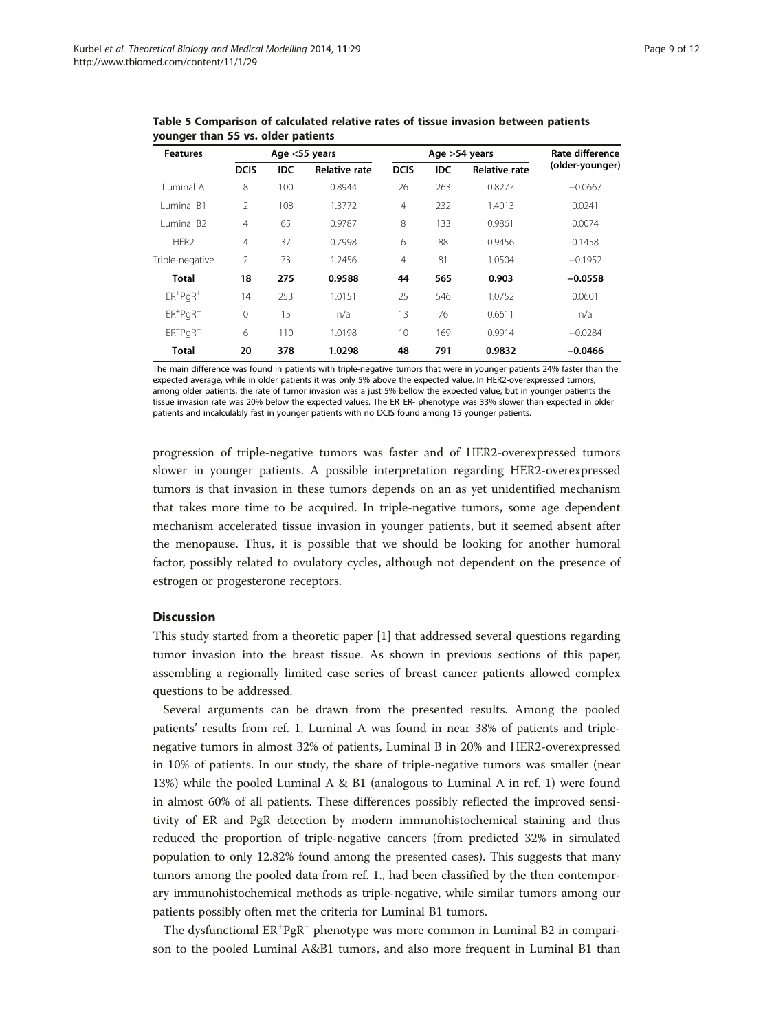| <b>Features</b>        | Age <55 years  |            |                      |                | Age >54 years | Rate difference      |                 |
|------------------------|----------------|------------|----------------------|----------------|---------------|----------------------|-----------------|
|                        | <b>DCIS</b>    | <b>IDC</b> | <b>Relative rate</b> | <b>DCIS</b>    | <b>IDC</b>    | <b>Relative rate</b> | (older-younger) |
| Luminal A              | 8              | 100        | 0.8944               | 26             | 263           | 0.8277               | $-0.0667$       |
| Luminal B1             | $\mathfrak{D}$ | 108        | 1.3772               | $\overline{4}$ | 232           | 1.4013               | 0.0241          |
| Luminal B <sub>2</sub> | $\overline{4}$ | 65         | 0.9787               | 8              | 133           | 0.9861               | 0.0074          |
| HER <sub>2</sub>       | $\overline{4}$ | 37         | 0.7998               | 6              | 88            | 0.9456               | 0.1458          |
| Triple-negative        | 2              | 73         | 1.2456               | $\overline{4}$ | 81            | 1.0504               | $-0.1952$       |
| Total                  | 18             | 275        | 0.9588               | 44             | 565           | 0.903                | $-0.0558$       |
| $ER+PQR$ <sup>+</sup>  | 14             | 253        | 1.0151               | 25             | 546           | 1.0752               | 0.0601          |
| $ER+PQR$               | $\mathbf{0}$   | 15         | n/a                  | 13             | 76            | 0.6611               | n/a             |
| $ER^-PqR^-$            | 6              | 110        | 1.0198               | 10             | 169           | 0.9914               | $-0.0284$       |
| Total                  | 20             | 378        | 1.0298               | 48             | 791           | 0.9832               | $-0.0466$       |

<span id="page-8-0"></span>Table 5 Comparison of calculated relative rates of tissue invasion between patients younger than 55 vs. older patients

The main difference was found in patients with triple-negative tumors that were in younger patients 24% faster than the expected average, while in older patients it was only 5% above the expected value. In HER2-overexpressed tumors, among older patients, the rate of tumor invasion was a just 5% bellow the expected value, but in younger patients the tissue invasion rate was 20% below the expected values. The ER+ER- phenotype was 33% slower than expected in older patients and incalculably fast in younger patients with no DCIS found among 15 younger patients.

progression of triple-negative tumors was faster and of HER2-overexpressed tumors slower in younger patients. A possible interpretation regarding HER2-overexpressed tumors is that invasion in these tumors depends on an as yet unidentified mechanism that takes more time to be acquired. In triple-negative tumors, some age dependent mechanism accelerated tissue invasion in younger patients, but it seemed absent after the menopause. Thus, it is possible that we should be looking for another humoral factor, possibly related to ovulatory cycles, although not dependent on the presence of estrogen or progesterone receptors.

# **Discussion**

This study started from a theoretic paper [\[1\]](#page-10-0) that addressed several questions regarding tumor invasion into the breast tissue. As shown in previous sections of this paper, assembling a regionally limited case series of breast cancer patients allowed complex questions to be addressed.

Several arguments can be drawn from the presented results. Among the pooled patients' results from ref. 1, Luminal A was found in near 38% of patients and triplenegative tumors in almost 32% of patients, Luminal B in 20% and HER2-overexpressed in 10% of patients. In our study, the share of triple-negative tumors was smaller (near 13%) while the pooled Luminal A & B1 (analogous to Luminal A in ref. 1) were found in almost 60% of all patients. These differences possibly reflected the improved sensitivity of ER and PgR detection by modern immunohistochemical staining and thus reduced the proportion of triple-negative cancers (from predicted 32% in simulated population to only 12.82% found among the presented cases). This suggests that many tumors among the pooled data from ref. 1., had been classified by the then contemporary immunohistochemical methods as triple-negative, while similar tumors among our patients possibly often met the criteria for Luminal B1 tumors.

The dysfunctional ER<sup>+</sup>PgR<sup>-</sup> phenotype was more common in Luminal B2 in comparison to the pooled Luminal A&B1 tumors, and also more frequent in Luminal B1 than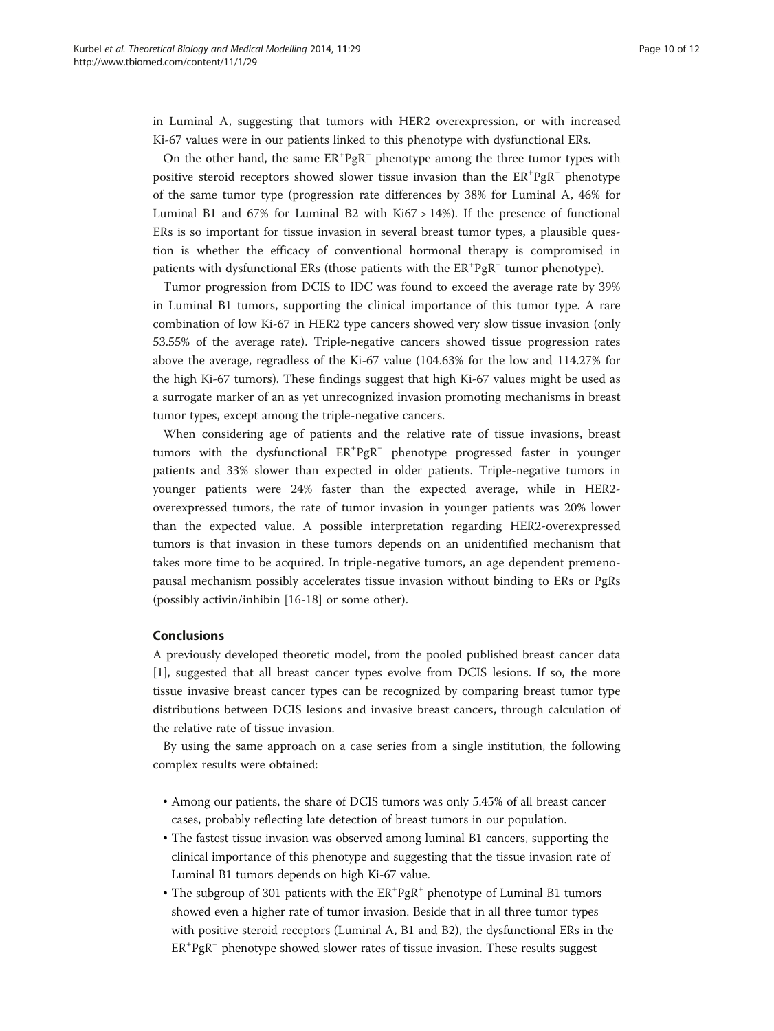in Luminal A, suggesting that tumors with HER2 overexpression, or with increased Ki-67 values were in our patients linked to this phenotype with dysfunctional ERs.

On the other hand, the same ER<sup>+</sup>PgR<sup>-</sup> phenotype among the three tumor types with positive steroid receptors showed slower tissue invasion than the ER<sup>+</sup>PgR<sup>+</sup> phenotype of the same tumor type (progression rate differences by 38% for Luminal A, 46% for Luminal B1 and 67% for Luminal B2 with Ki67 > 14%). If the presence of functional ERs is so important for tissue invasion in several breast tumor types, a plausible question is whether the efficacy of conventional hormonal therapy is compromised in patients with dysfunctional ERs (those patients with the ER<sup>+</sup>PgR<sup>-</sup> tumor phenotype).

Tumor progression from DCIS to IDC was found to exceed the average rate by 39% in Luminal B1 tumors, supporting the clinical importance of this tumor type. A rare combination of low Ki-67 in HER2 type cancers showed very slow tissue invasion (only 53.55% of the average rate). Triple-negative cancers showed tissue progression rates above the average, regradless of the Ki-67 value (104.63% for the low and 114.27% for the high Ki-67 tumors). These findings suggest that high Ki-67 values might be used as a surrogate marker of an as yet unrecognized invasion promoting mechanisms in breast tumor types, except among the triple-negative cancers.

When considering age of patients and the relative rate of tissue invasions, breast tumors with the dysfunctional  $ER^+PgR^-$  phenotype progressed faster in younger patients and 33% slower than expected in older patients. Triple-negative tumors in younger patients were 24% faster than the expected average, while in HER2 overexpressed tumors, the rate of tumor invasion in younger patients was 20% lower than the expected value. A possible interpretation regarding HER2-overexpressed tumors is that invasion in these tumors depends on an unidentified mechanism that takes more time to be acquired. In triple-negative tumors, an age dependent premenopausal mechanism possibly accelerates tissue invasion without binding to ERs or PgRs (possibly activin/inhibin [[16-18](#page-11-0)] or some other).

# Conclusions

A previously developed theoretic model, from the pooled published breast cancer data [[1\]](#page-10-0), suggested that all breast cancer types evolve from DCIS lesions. If so, the more tissue invasive breast cancer types can be recognized by comparing breast tumor type distributions between DCIS lesions and invasive breast cancers, through calculation of the relative rate of tissue invasion.

By using the same approach on a case series from a single institution, the following complex results were obtained:

- Among our patients, the share of DCIS tumors was only 5.45% of all breast cancer cases, probably reflecting late detection of breast tumors in our population.
- The fastest tissue invasion was observed among luminal B1 cancers, supporting the clinical importance of this phenotype and suggesting that the tissue invasion rate of Luminal B1 tumors depends on high Ki-67 value.
- The subgroup of 301 patients with the  $ER^+PgR^+$  phenotype of Luminal B1 tumors showed even a higher rate of tumor invasion. Beside that in all three tumor types with positive steroid receptors (Luminal A, B1 and B2), the dysfunctional ERs in the ER<sup>+</sup>PgR<sup>-</sup> phenotype showed slower rates of tissue invasion. These results suggest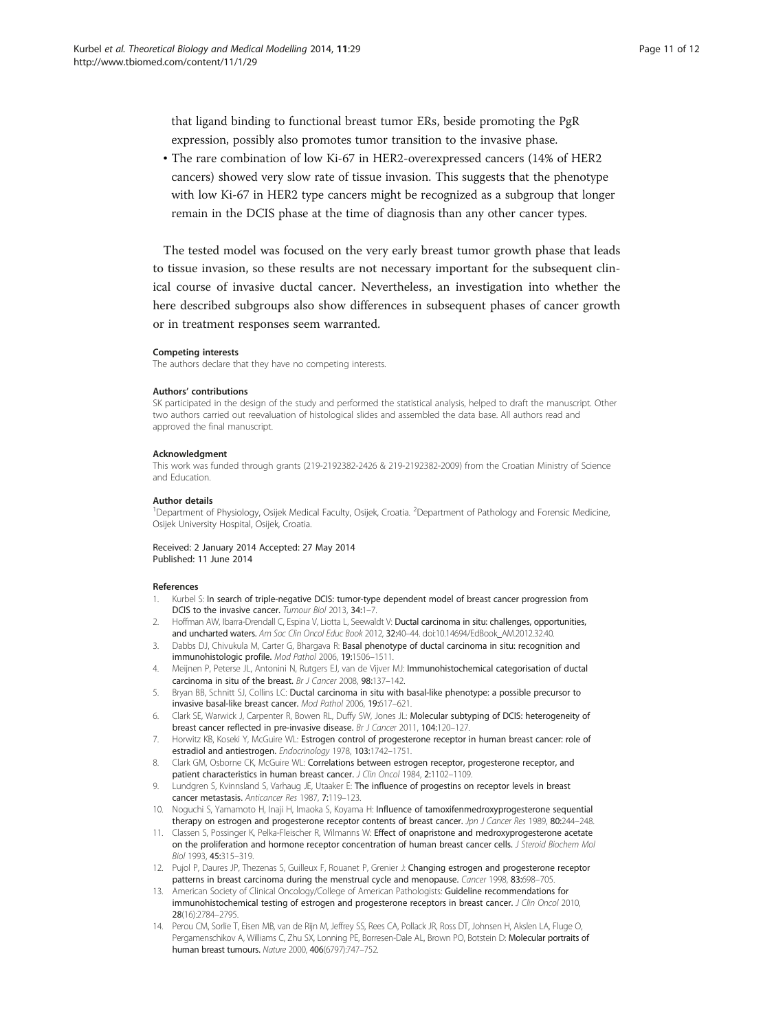<span id="page-10-0"></span>that ligand binding to functional breast tumor ERs, beside promoting the PgR expression, possibly also promotes tumor transition to the invasive phase.

• The rare combination of low Ki-67 in HER2-overexpressed cancers (14% of HER2 cancers) showed very slow rate of tissue invasion. This suggests that the phenotype with low Ki-67 in HER2 type cancers might be recognized as a subgroup that longer remain in the DCIS phase at the time of diagnosis than any other cancer types.

The tested model was focused on the very early breast tumor growth phase that leads to tissue invasion, so these results are not necessary important for the subsequent clinical course of invasive ductal cancer. Nevertheless, an investigation into whether the here described subgroups also show differences in subsequent phases of cancer growth or in treatment responses seem warranted.

#### Competing interests

The authors declare that they have no competing interests.

#### Authors' contributions

SK participated in the design of the study and performed the statistical analysis, helped to draft the manuscript. Other two authors carried out reevaluation of histological slides and assembled the data base. All authors read and approved the final manuscript.

#### Acknowledgment

This work was funded through grants (219-2192382-2426 & 219-2192382-2009) from the Croatian Ministry of Science and Education.

#### Author details

<sup>1</sup>Department of Physiology, Osijek Medical Faculty, Osijek, Croatia. <sup>2</sup>Department of Pathology and Forensic Medicine, Osijek University Hospital, Osijek, Croatia.

#### Received: 2 January 2014 Accepted: 27 May 2014 Published: 11 June 2014

#### References

- 1. Kurbel S: In search of triple-negative DCIS: tumor-type dependent model of breast cancer progression from DCIS to the invasive cancer. Tumour Biol 2013, 34:1-7.
- 2. Hoffman AW, Ibarra-Drendall C, Espina V, Liotta L, Seewaldt V: Ductal carcinoma in situ: challenges, opportunities, and uncharted waters. Am Soc Clin Oncol Educ Book 2012, 32:40-44. doi:10.14694/EdBook AM.2012.32.40.
- 3. Dabbs DJ, Chivukula M, Carter G, Bhargava R: Basal phenotype of ductal carcinoma in situ: recognition and immunohistologic profile. Mod Pathol 2006, 19:1506–1511.
- 4. Meijnen P, Peterse JL, Antonini N, Rutgers EJ, van de Vijver MJ: Immunohistochemical categorisation of ductal carcinoma in situ of the breast. Br J Cancer 2008, 98:137–142.
- 5. Bryan BB, Schnitt SJ, Collins LC: Ductal carcinoma in situ with basal-like phenotype: a possible precursor to invasive basal-like breast cancer. Mod Pathol 2006, 19:617–621.
- 6. Clark SE, Warwick J, Carpenter R, Bowen RL, Duffy SW, Jones JL: Molecular subtyping of DCIS: heterogeneity of breast cancer reflected in pre-invasive disease. Br J Cancer 2011, 104:120-127
- 7. Horwitz KB, Koseki Y, McGuire WL: Estrogen control of progesterone receptor in human breast cancer: role of estradiol and antiestrogen. Endocrinology 1978, 103:1742–1751.
- 8. Clark GM, Osborne CK, McGuire WL: Correlations between estrogen receptor, progesterone receptor, and patient characteristics in human breast cancer. J Clin Oncol 1984, 2:1102-1109.
- 9. Lundgren S, Kvinnsland S, Varhaug JE, Utaaker E: The influence of progestins on receptor levels in breast cancer metastasis. Anticancer Res 1987, 7:119–123.
- 10. Noguchi S, Yamamoto H, Inaji H, Imaoka S, Koyama H: Influence of tamoxifenmedroxyprogesterone sequential therapy on estrogen and progesterone receptor contents of breast cancer. Jpn J Cancer Res 1989, 80:244–248.
- 11. Classen S, Possinger K, Pelka-Fleischer R, Wilmanns W: Effect of onapristone and medroxyprogesterone acetate on the proliferation and hormone receptor concentration of human breast cancer cells. J Steroid Biochem Mol Biol 1993, 45:315–319.
- 12. Pujol P, Daures JP, Thezenas S, Guilleux F, Rouanet P, Grenier J: Changing estrogen and progesterone receptor patterns in breast carcinoma during the menstrual cycle and menopause. Cancer 1998, 83:698-705.
- 13. American Society of Clinical Oncology/College of American Pathologists: Guideline recommendations for immunohistochemical testing of estrogen and progesterone receptors in breast cancer. J Clin Oncol 2010, 28(16):2784–2795.
- 14. Perou CM, Sorlie T, Eisen MB, van de Rijn M, Jeffrey SS, Rees CA, Pollack JR, Ross DT, Johnsen H, Akslen LA, Fluge O, Pergamenschikov A, Williams C, Zhu SX, Lonning PE, Borresen-Dale AL, Brown PO, Botstein D: Molecular portraits of human breast tumours. Nature 2000, 406(6797):747–752.